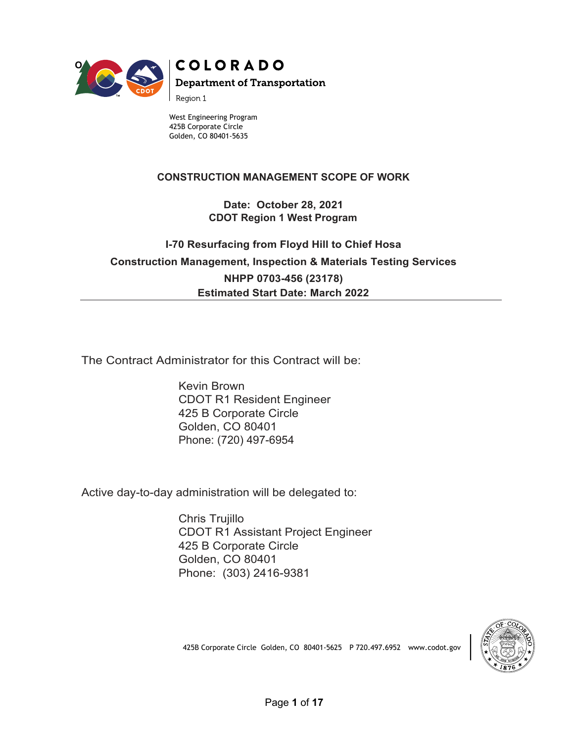

# **COLORADO Department of Transportation**

Region 1

West Engineering Program 425B Corporate Circle Golden, CO 80401-5635

## **CONSTRUCTION MANAGEMENT SCOPE OF WORK**

**Date: October 28, 2021 CDOT Region 1 West Program**

# **I-70 Resurfacing from Floyd Hill to Chief Hosa Construction Management, Inspection & Materials Testing Services**

**NHPP 0703-456 (23178) Estimated Start Date: March 2022**

The Contract Administrator for this Contract will be:

Kevin Brown CDOT R1 Resident Engineer 425 B Corporate Circle Golden, CO 80401 Phone: (720) 497-6954

Active day-to-day administration will be delegated to:

Chris Trujillo CDOT R1 Assistant Project Engineer 425 B Corporate Circle Golden, CO 80401 Phone: (303) 2416-9381



425B Corporate Circle Golden, CO 80401-5625 P 720.497.6952 www.codot.gov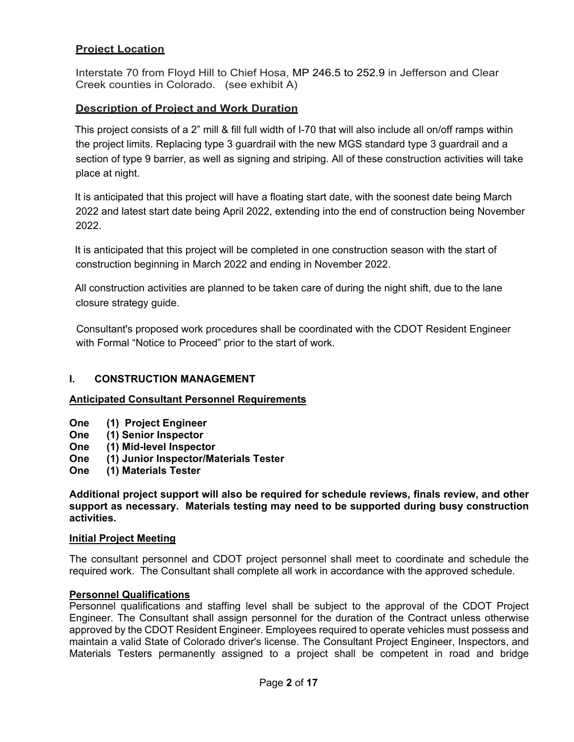## **Project Location**

Interstate 70 from Floyd Hill to Chief Hosa, MP 246.5 to 252.9 in Jefferson and Clear Creek counties in Colorado. (see exhibit A)

## **Description of Project and Work Duration**

This project consists of a 2" mill & fill full width of I-70 that will also include all on/off ramps within the project limits. Replacing type 3 guardrail with the new MGS standard type 3 guardrail and a section of type 9 barrier, as well as signing and striping. All of these construction activities will take place at night.

It is anticipated that this project will have a floating start date, with the soonest date being March 2022 and latest start date being April 2022, extending into the end of construction being November 2022.

It is anticipated that this project will be completed in one construction season with the start of construction beginning in March 2022 and ending in November 2022.

All construction activities are planned to be taken care of during the night shift, due to the lane closure strategy guide.

Consultant's proposed work procedures shall be coordinated with the CDOT Resident Engineer with Formal "Notice to Proceed" prior to the start of work.

## **I. CONSTRUCTION MANAGEMENT**

## **Anticipated Consultant Personnel Requirements**

- **One (1) Project Engineer**
- **One (1) Senior Inspector**
- **One (1) Mid-level Inspector**
- **One (1) Junior Inspector/Materials Tester**
- **One (1) Materials Tester**

**Additional project support will also be required for schedule reviews, finals review, and other support as necessary. Materials testing may need to be supported during busy construction activities.**

### **Initial Project Meeting**

The consultant personnel and CDOT project personnel shall meet to coordinate and schedule the required work. The Consultant shall complete all work in accordance with the approved schedule.

## **Personnel Qualifications**

Personnel qualifications and staffing level shall be subject to the approval of the CDOT Project Engineer. The Consultant shall assign personnel for the duration of the Contract unless otherwise approved by the CDOT Resident Engineer. Employees required to operate vehicles must possess and maintain a valid State of Colorado driver's license. The Consultant Project Engineer, Inspectors, and Materials Testers permanently assigned to a project shall be competent in road and bridge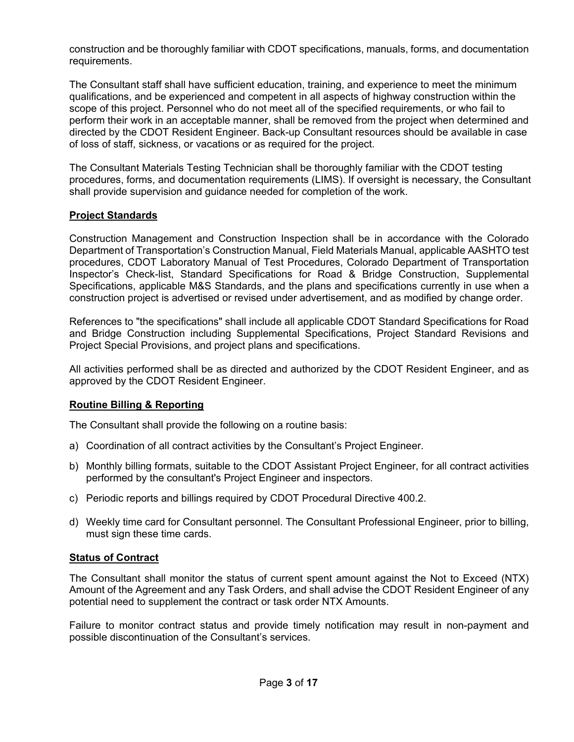construction and be thoroughly familiar with CDOT specifications, manuals, forms, and documentation requirements.

The Consultant staff shall have sufficient education, training, and experience to meet the minimum qualifications, and be experienced and competent in all aspects of highway construction within the scope of this project. Personnel who do not meet all of the specified requirements, or who fail to perform their work in an acceptable manner, shall be removed from the project when determined and directed by the CDOT Resident Engineer. Back-up Consultant resources should be available in case of loss of staff, sickness, or vacations or as required for the project.

The Consultant Materials Testing Technician shall be thoroughly familiar with the CDOT testing procedures, forms, and documentation requirements (LIMS). If oversight is necessary, the Consultant shall provide supervision and guidance needed for completion of the work.

## **Project Standards**

Construction Management and Construction Inspection shall be in accordance with the Colorado Department of Transportation's Construction Manual, Field Materials Manual, applicable AASHTO test procedures, CDOT Laboratory Manual of Test Procedures, Colorado Department of Transportation Inspector's Check-list, Standard Specifications for Road & Bridge Construction, Supplemental Specifications, applicable M&S Standards, and the plans and specifications currently in use when a construction project is advertised or revised under advertisement, and as modified by change order.

References to "the specifications" shall include all applicable CDOT Standard Specifications for Road and Bridge Construction including Supplemental Specifications, Project Standard Revisions and Project Special Provisions, and project plans and specifications.

All activities performed shall be as directed and authorized by the CDOT Resident Engineer, and as approved by the CDOT Resident Engineer.

## **Routine Billing & Reporting**

The Consultant shall provide the following on a routine basis:

- a) Coordination of all contract activities by the Consultant's Project Engineer.
- b) Monthly billing formats, suitable to the CDOT Assistant Project Engineer, for all contract activities performed by the consultant's Project Engineer and inspectors.
- c) Periodic reports and billings required by CDOT Procedural Directive 400.2.
- d) Weekly time card for Consultant personnel. The Consultant Professional Engineer, prior to billing, must sign these time cards.

### **Status of Contract**

The Consultant shall monitor the status of current spent amount against the Not to Exceed (NTX) Amount of the Agreement and any Task Orders, and shall advise the CDOT Resident Engineer of any potential need to supplement the contract or task order NTX Amounts.

Failure to monitor contract status and provide timely notification may result in non-payment and possible discontinuation of the Consultant's services.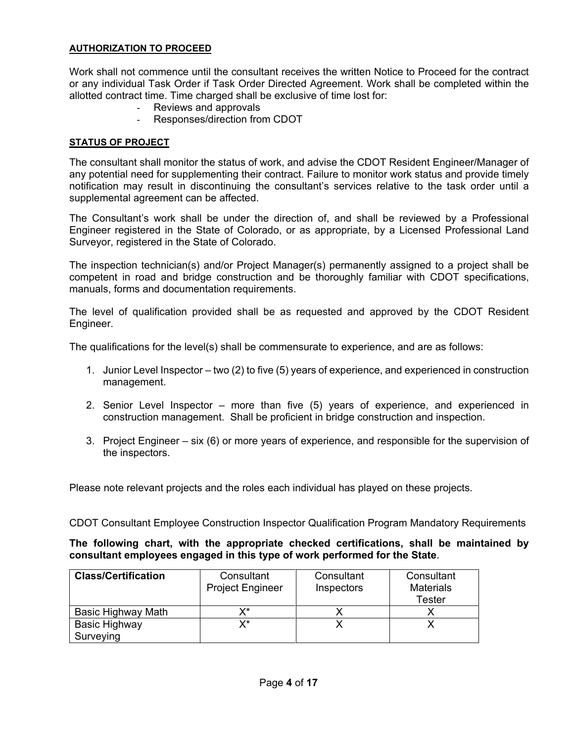## **AUTHORIZATION TO PROCEED**

Work shall not commence until the consultant receives the written Notice to Proceed for the contract or any individual Task Order if Task Order Directed Agreement. Work shall be completed within the allotted contract time. Time charged shall be exclusive of time lost for:

- Reviews and approvals
- Responses/direction from CDOT

## **STATUS OF PROJECT**

The consultant shall monitor the status of work, and advise the CDOT Resident Engineer/Manager of any potential need for supplementing their contract. Failure to monitor work status and provide timely notification may result in discontinuing the consultant's services relative to the task order until a supplemental agreement can be affected.

The Consultant's work shall be under the direction of, and shall be reviewed by a Professional Engineer registered in the State of Colorado, or as appropriate, by a Licensed Professional Land Surveyor, registered in the State of Colorado.

The inspection technician(s) and/or Project Manager(s) permanently assigned to a project shall be competent in road and bridge construction and be thoroughly familiar with CDOT specifications, manuals, forms and documentation requirements.

The level of qualification provided shall be as requested and approved by the CDOT Resident Engineer.

The qualifications for the level(s) shall be commensurate to experience, and are as follows:

- 1. Junior Level Inspector two (2) to five (5) years of experience, and experienced in construction management.
- 2. Senior Level Inspector more than five (5) years of experience, and experienced in construction management. Shall be proficient in bridge construction and inspection.
- 3. Project Engineer six (6) or more years of experience, and responsible for the supervision of the inspectors.

Please note relevant projects and the roles each individual has played on these projects.

CDOT Consultant Employee Construction Inspector Qualification Program Mandatory Requirements

**The following chart, with the appropriate checked certifications, shall be maintained by consultant employees engaged in this type of work performed for the State**.

| <b>Class/Certification</b>        | Consultant<br><b>Project Engineer</b> | Consultant<br>Inspectors | Consultant<br><b>Materials</b><br>Tester |
|-----------------------------------|---------------------------------------|--------------------------|------------------------------------------|
| Basic Highway Math                | v*                                    |                          |                                          |
| <b>Basic Highway</b><br>Surveying | x*                                    |                          |                                          |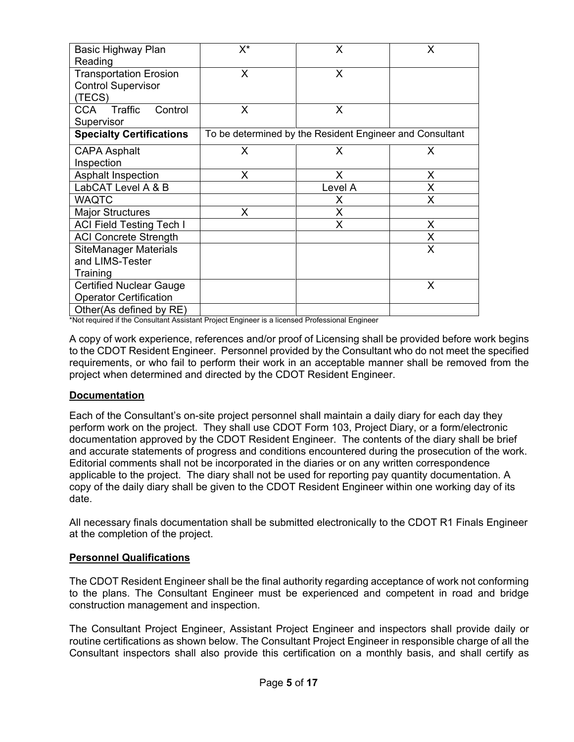| Basic Highway Plan<br>Reading                                        | $X^*$                                                    | X       | X |
|----------------------------------------------------------------------|----------------------------------------------------------|---------|---|
| <b>Transportation Erosion</b><br><b>Control Supervisor</b><br>(TECS) | X                                                        | X       |   |
| Traffic<br>CCA.<br>Control<br>Supervisor                             | X                                                        | X       |   |
| <b>Specialty Certifications</b>                                      | To be determined by the Resident Engineer and Consultant |         |   |
| <b>CAPA Asphalt</b><br>Inspection                                    | X                                                        | X.      | X |
| <b>Asphalt Inspection</b>                                            | X                                                        | X.      | X |
| LabCAT Level A & B                                                   |                                                          | Level A | X |
| <b>WAQTC</b>                                                         |                                                          | X.      | X |
| <b>Major Structures</b>                                              | X                                                        | X       |   |
| <b>ACI Field Testing Tech I</b>                                      |                                                          | X       | X |
| <b>ACI Concrete Strength</b>                                         |                                                          |         | X |
| <b>SiteManager Materials</b>                                         |                                                          |         | X |
| and LIMS-Tester                                                      |                                                          |         |   |
| Training                                                             |                                                          |         |   |
| <b>Certified Nuclear Gauge</b>                                       |                                                          |         | X |
| <b>Operator Certification</b>                                        |                                                          |         |   |
| Other(As defined by RE)                                              |                                                          |         |   |

\*Not required if the Consultant Assistant Project Engineer is a licensed Professional Engineer

A copy of work experience, references and/or proof of Licensing shall be provided before work begins to the CDOT Resident Engineer. Personnel provided by the Consultant who do not meet the specified requirements, or who fail to perform their work in an acceptable manner shall be removed from the project when determined and directed by the CDOT Resident Engineer.

### **Documentation**

Each of the Consultant's on-site project personnel shall maintain a daily diary for each day they perform work on the project. They shall use CDOT Form 103, Project Diary, or a form/electronic documentation approved by the CDOT Resident Engineer. The contents of the diary shall be brief and accurate statements of progress and conditions encountered during the prosecution of the work. Editorial comments shall not be incorporated in the diaries or on any written correspondence applicable to the project. The diary shall not be used for reporting pay quantity documentation. A copy of the daily diary shall be given to the CDOT Resident Engineer within one working day of its date.

All necessary finals documentation shall be submitted electronically to the CDOT R1 Finals Engineer at the completion of the project.

### **Personnel Qualifications**

The CDOT Resident Engineer shall be the final authority regarding acceptance of work not conforming to the plans. The Consultant Engineer must be experienced and competent in road and bridge construction management and inspection.

The Consultant Project Engineer, Assistant Project Engineer and inspectors shall provide daily or routine certifications as shown below. The Consultant Project Engineer in responsible charge of all the Consultant inspectors shall also provide this certification on a monthly basis, and shall certify as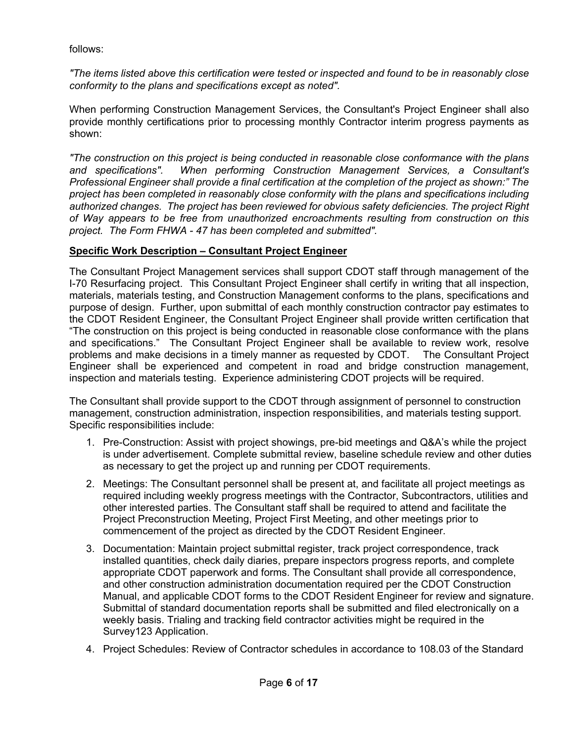follows:

*"The items listed above this certification were tested or inspected and found to be in reasonably close conformity to the plans and specifications except as noted".*

When performing Construction Management Services, the Consultant's Project Engineer shall also provide monthly certifications prior to processing monthly Contractor interim progress payments as shown:

*"The construction on this project is being conducted in reasonable close conformance with the plans and specifications". When performing Construction Management Services, a Consultant's Professional Engineer shall provide a final certification at the completion of the project as shown:" The project has been completed in reasonably close conformity with the plans and specifications including authorized changes. The project has been reviewed for obvious safety deficiencies. The project Right of Way appears to be free from unauthorized encroachments resulting from construction on this project. The Form FHWA - 47 has been completed and submitted".*

## **Specific Work Description – Consultant Project Engineer**

The Consultant Project Management services shall support CDOT staff through management of the I-70 Resurfacing project. This Consultant Project Engineer shall certify in writing that all inspection, materials, materials testing, and Construction Management conforms to the plans, specifications and purpose of design. Further, upon submittal of each monthly construction contractor pay estimates to the CDOT Resident Engineer, the Consultant Project Engineer shall provide written certification that "The construction on this project is being conducted in reasonable close conformance with the plans and specifications." The Consultant Project Engineer shall be available to review work, resolve problems and make decisions in a timely manner as requested by CDOT. The Consultant Project Engineer shall be experienced and competent in road and bridge construction management, inspection and materials testing. Experience administering CDOT projects will be required.

The Consultant shall provide support to the CDOT through assignment of personnel to construction management, construction administration, inspection responsibilities, and materials testing support. Specific responsibilities include:

- 1. Pre-Construction: Assist with project showings, pre-bid meetings and Q&A's while the project is under advertisement. Complete submittal review, baseline schedule review and other duties as necessary to get the project up and running per CDOT requirements.
- 2. Meetings: The Consultant personnel shall be present at, and facilitate all project meetings as required including weekly progress meetings with the Contractor, Subcontractors, utilities and other interested parties. The Consultant staff shall be required to attend and facilitate the Project Preconstruction Meeting, Project First Meeting, and other meetings prior to commencement of the project as directed by the CDOT Resident Engineer.
- 3. Documentation: Maintain project submittal register, track project correspondence, track installed quantities, check daily diaries, prepare inspectors progress reports, and complete appropriate CDOT paperwork and forms. The Consultant shall provide all correspondence, and other construction administration documentation required per the CDOT Construction Manual, and applicable CDOT forms to the CDOT Resident Engineer for review and signature. Submittal of standard documentation reports shall be submitted and filed electronically on a weekly basis. Trialing and tracking field contractor activities might be required in the Survey123 Application.
- 4. Project Schedules: Review of Contractor schedules in accordance to 108.03 of the Standard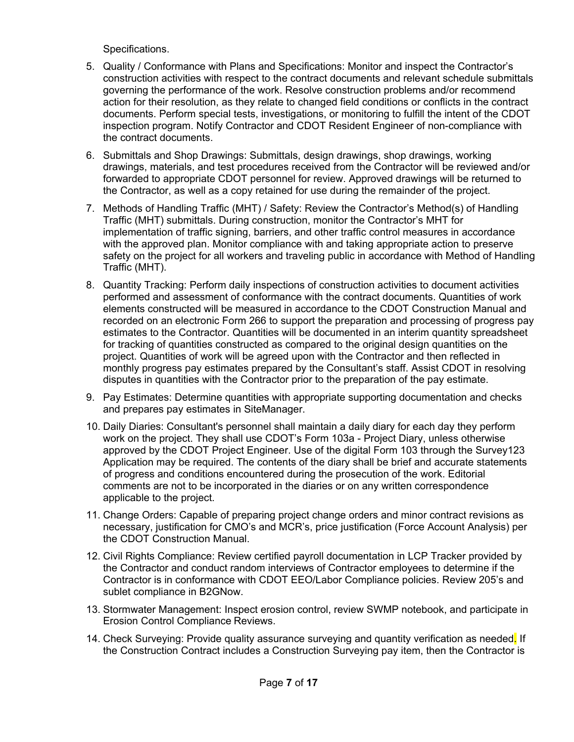Specifications.

- 5. Quality / Conformance with Plans and Specifications: Monitor and inspect the Contractor's construction activities with respect to the contract documents and relevant schedule submittals governing the performance of the work. Resolve construction problems and/or recommend action for their resolution, as they relate to changed field conditions or conflicts in the contract documents. Perform special tests, investigations, or monitoring to fulfill the intent of the CDOT inspection program. Notify Contractor and CDOT Resident Engineer of non-compliance with the contract documents.
- 6. Submittals and Shop Drawings: Submittals, design drawings, shop drawings, working drawings, materials, and test procedures received from the Contractor will be reviewed and/or forwarded to appropriate CDOT personnel for review. Approved drawings will be returned to the Contractor, as well as a copy retained for use during the remainder of the project.
- 7. Methods of Handling Traffic (MHT) / Safety: Review the Contractor's Method(s) of Handling Traffic (MHT) submittals. During construction, monitor the Contractor's MHT for implementation of traffic signing, barriers, and other traffic control measures in accordance with the approved plan. Monitor compliance with and taking appropriate action to preserve safety on the project for all workers and traveling public in accordance with Method of Handling Traffic (MHT).
- 8. Quantity Tracking: Perform daily inspections of construction activities to document activities performed and assessment of conformance with the contract documents. Quantities of work elements constructed will be measured in accordance to the CDOT Construction Manual and recorded on an electronic Form 266 to support the preparation and processing of progress pay estimates to the Contractor. Quantities will be documented in an interim quantity spreadsheet for tracking of quantities constructed as compared to the original design quantities on the project. Quantities of work will be agreed upon with the Contractor and then reflected in monthly progress pay estimates prepared by the Consultant's staff. Assist CDOT in resolving disputes in quantities with the Contractor prior to the preparation of the pay estimate.
- 9. Pay Estimates: Determine quantities with appropriate supporting documentation and checks and prepares pay estimates in SiteManager.
- 10. Daily Diaries: Consultant's personnel shall maintain a daily diary for each day they perform work on the project. They shall use CDOT's Form 103a - Project Diary, unless otherwise approved by the CDOT Project Engineer. Use of the digital Form 103 through the Survey123 Application may be required. The contents of the diary shall be brief and accurate statements of progress and conditions encountered during the prosecution of the work. Editorial comments are not to be incorporated in the diaries or on any written correspondence applicable to the project.
- 11. Change Orders: Capable of preparing project change orders and minor contract revisions as necessary, justification for CMO's and MCR's, price justification (Force Account Analysis) per the CDOT Construction Manual.
- 12. Civil Rights Compliance: Review certified payroll documentation in LCP Tracker provided by the Contractor and conduct random interviews of Contractor employees to determine if the Contractor is in conformance with CDOT EEO/Labor Compliance policies. Review 205's and sublet compliance in B2GNow.
- 13. Stormwater Management: Inspect erosion control, review SWMP notebook, and participate in Erosion Control Compliance Reviews.
- 14. Check Surveying: Provide quality assurance surveying and quantity verification as needed. If the Construction Contract includes a Construction Surveying pay item, then the Contractor is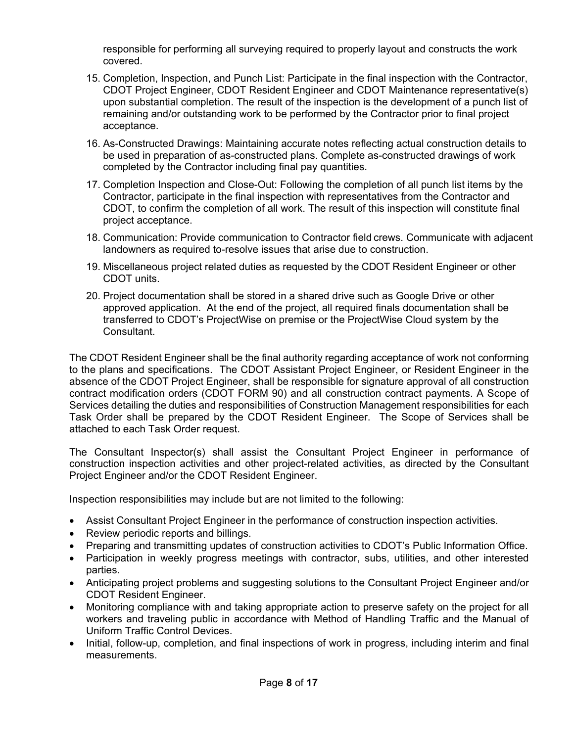responsible for performing all surveying required to properly layout and constructs the work covered.

- 15. Completion, Inspection, and Punch List: Participate in the final inspection with the Contractor, CDOT Project Engineer, CDOT Resident Engineer and CDOT Maintenance representative(s) upon substantial completion. The result of the inspection is the development of a punch list of remaining and/or outstanding work to be performed by the Contractor prior to final project acceptance.
- 16. As-Constructed Drawings: Maintaining accurate notes reflecting actual construction details to be used in preparation of as-constructed plans. Complete as-constructed drawings of work completed by the Contractor including final pay quantities.
- 17. Completion Inspection and Close-Out: Following the completion of all punch list items by the Contractor, participate in the final inspection with representatives from the Contractor and CDOT, to confirm the completion of all work. The result of this inspection will constitute final project acceptance.
- 18. Communication: Provide communication to Contractor field crews. Communicate with adjacent landowners as required to-resolve issues that arise due to construction.
- 19. Miscellaneous project related duties as requested by the CDOT Resident Engineer or other CDOT units.
- 20. Project documentation shall be stored in a shared drive such as Google Drive or other approved application. At the end of the project, all required finals documentation shall be transferred to CDOT's ProjectWise on premise or the ProjectWise Cloud system by the **Consultant**

The CDOT Resident Engineer shall be the final authority regarding acceptance of work not conforming to the plans and specifications. The CDOT Assistant Project Engineer, or Resident Engineer in the absence of the CDOT Project Engineer, shall be responsible for signature approval of all construction contract modification orders (CDOT FORM 90) and all construction contract payments. A Scope of Services detailing the duties and responsibilities of Construction Management responsibilities for each Task Order shall be prepared by the CDOT Resident Engineer. The Scope of Services shall be attached to each Task Order request.

The Consultant Inspector(s) shall assist the Consultant Project Engineer in performance of construction inspection activities and other project-related activities, as directed by the Consultant Project Engineer and/or the CDOT Resident Engineer.

Inspection responsibilities may include but are not limited to the following:

- Assist Consultant Project Engineer in the performance of construction inspection activities.
- Review periodic reports and billings.
- Preparing and transmitting updates of construction activities to CDOT's Public Information Office.
- Participation in weekly progress meetings with contractor, subs, utilities, and other interested parties.
- Anticipating project problems and suggesting solutions to the Consultant Project Engineer and/or CDOT Resident Engineer.
- Monitoring compliance with and taking appropriate action to preserve safety on the project for all workers and traveling public in accordance with Method of Handling Traffic and the Manual of Uniform Traffic Control Devices.
- Initial, follow-up, completion, and final inspections of work in progress, including interim and final measurements.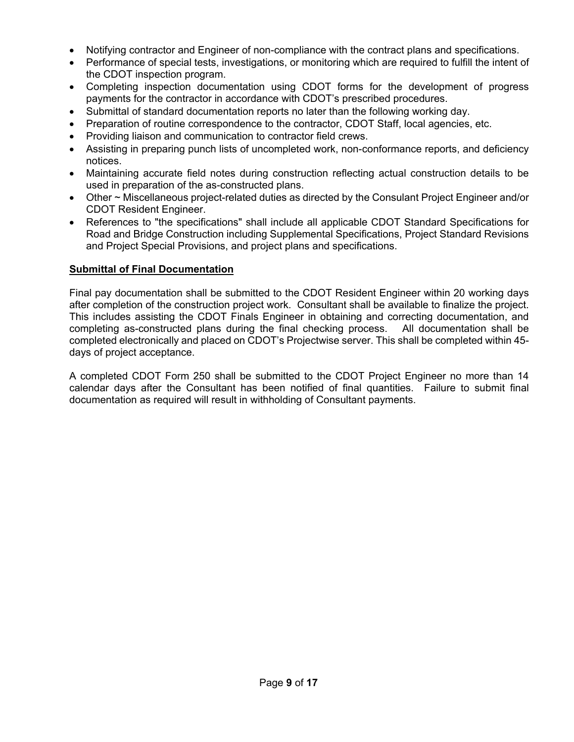- Notifying contractor and Engineer of non-compliance with the contract plans and specifications.
- Performance of special tests, investigations, or monitoring which are required to fulfill the intent of the CDOT inspection program.
- Completing inspection documentation using CDOT forms for the development of progress payments for the contractor in accordance with CDOT's prescribed procedures.
- Submittal of standard documentation reports no later than the following working day.
- Preparation of routine correspondence to the contractor, CDOT Staff, local agencies, etc.
- Providing liaison and communication to contractor field crews.
- Assisting in preparing punch lists of uncompleted work, non-conformance reports, and deficiency notices.
- Maintaining accurate field notes during construction reflecting actual construction details to be used in preparation of the as-constructed plans.
- Other ~ Miscellaneous project-related duties as directed by the Consulant Project Engineer and/or CDOT Resident Engineer.
- References to "the specifications" shall include all applicable CDOT Standard Specifications for Road and Bridge Construction including Supplemental Specifications, Project Standard Revisions and Project Special Provisions, and project plans and specifications.

## **Submittal of Final Documentation**

Final pay documentation shall be submitted to the CDOT Resident Engineer within 20 working days after completion of the construction project work. Consultant shall be available to finalize the project. This includes assisting the CDOT Finals Engineer in obtaining and correcting documentation, and completing as-constructed plans during the final checking process. All documentation shall be completed electronically and placed on CDOT's Projectwise server. This shall be completed within 45 days of project acceptance.

A completed CDOT Form 250 shall be submitted to the CDOT Project Engineer no more than 14 calendar days after the Consultant has been notified of final quantities. Failure to submit final documentation as required will result in withholding of Consultant payments.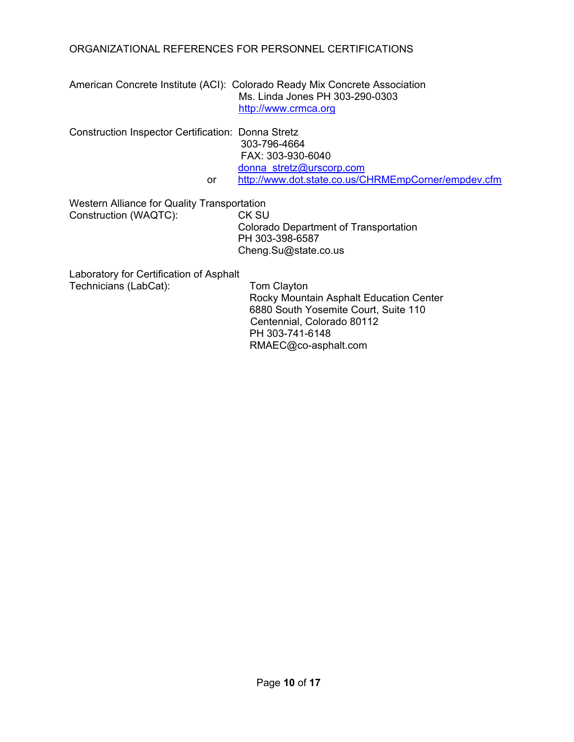## ORGANIZATIONAL REFERENCES FOR PERSONNEL CERTIFICATIONS

American Concrete Institute (ACI): Colorado Ready Mix Concrete Association Ms. Linda Jones PH 303-290-0303 [http://www.crmca.org](http://www.crmca.org/)

Construction Inspector Certification: Donna Stretz 303-796-4664 FAX: 303-930-6040 [donna\\_stretz@urscorp.com](mailto:donna_stretz@urscorp.com) or <http://www.dot.state.co.us/CHRMEmpCorner/empdev.cfm>

Western Alliance for Quality Transportation Construction (WAQTC): CK SU

Colorado Department of Transportation PH 303-398-6587 Cheng.Su@state.co.us

Laboratory for Certification of Asphalt Technicians (LabCat): Tom Clayton

 Rocky Mountain Asphalt Education Center 6880 South Yosemite Court, Suite 110 Centennial, Colorado 80112 PH 303-741-6148 RMAEC@co-asphalt.com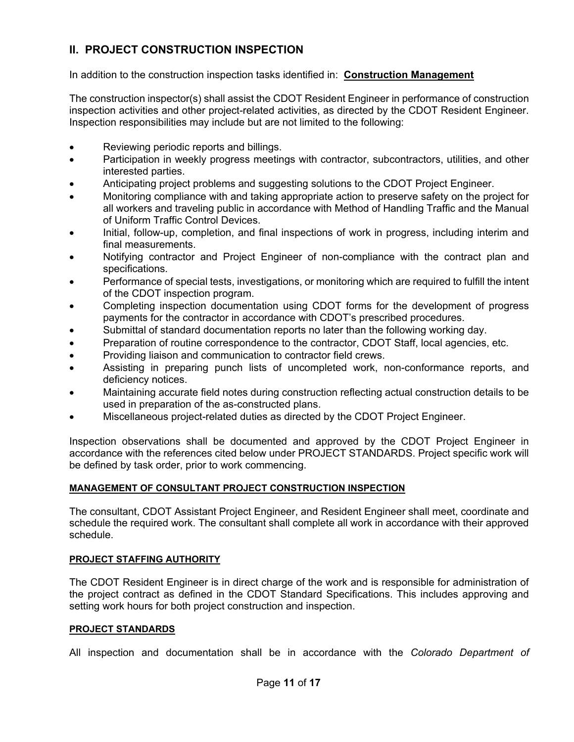# **II. PROJECT CONSTRUCTION INSPECTION**

## In addition to the construction inspection tasks identified in: **Construction Management**

The construction inspector(s) shall assist the CDOT Resident Engineer in performance of construction inspection activities and other project-related activities, as directed by the CDOT Resident Engineer. Inspection responsibilities may include but are not limited to the following:

- Reviewing periodic reports and billings.
- Participation in weekly progress meetings with contractor, subcontractors, utilities, and other interested parties.
- Anticipating project problems and suggesting solutions to the CDOT Project Engineer.
- Monitoring compliance with and taking appropriate action to preserve safety on the project for all workers and traveling public in accordance with Method of Handling Traffic and the Manual of Uniform Traffic Control Devices.
- Initial, follow-up, completion, and final inspections of work in progress, including interim and final measurements.
- Notifying contractor and Project Engineer of non-compliance with the contract plan and specifications.
- Performance of special tests, investigations, or monitoring which are required to fulfill the intent of the CDOT inspection program.
- Completing inspection documentation using CDOT forms for the development of progress payments for the contractor in accordance with CDOT's prescribed procedures.
- Submittal of standard documentation reports no later than the following working day.
- Preparation of routine correspondence to the contractor, CDOT Staff, local agencies, etc.
- Providing liaison and communication to contractor field crews.
- Assisting in preparing punch lists of uncompleted work, non-conformance reports, and deficiency notices.
- Maintaining accurate field notes during construction reflecting actual construction details to be used in preparation of the as-constructed plans.
- Miscellaneous project-related duties as directed by the CDOT Project Engineer.

Inspection observations shall be documented and approved by the CDOT Project Engineer in accordance with the references cited below under PROJECT STANDARDS. Project specific work will be defined by task order, prior to work commencing.

## **MANAGEMENT OF CONSULTANT PROJECT CONSTRUCTION INSPECTION**

The consultant, CDOT Assistant Project Engineer, and Resident Engineer shall meet, coordinate and schedule the required work. The consultant shall complete all work in accordance with their approved schedule.

### **PROJECT STAFFING AUTHORITY**

The CDOT Resident Engineer is in direct charge of the work and is responsible for administration of the project contract as defined in the CDOT Standard Specifications. This includes approving and setting work hours for both project construction and inspection.

### **PROJECT STANDARDS**

All inspection and documentation shall be in accordance with the *Colorado Department of*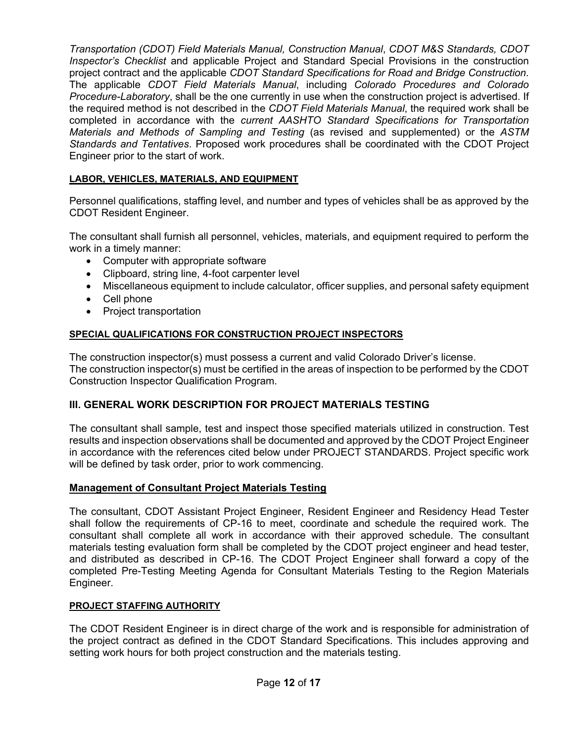*Transportation (CDOT) Field Materials Manual, Construction Manual*, *CDOT M&S Standards, CDOT Inspector's Checklist* and applicable Project and Standard Special Provisions in the construction project contract and the applicable *CDOT Standard Specifications for Road and Bridge Construction*. The applicable *CDOT Field Materials Manual*, including *Colorado Procedures and Colorado Procedure-Laboratory*, shall be the one currently in use when the construction project is advertised. If the required method is not described in the *CDOT Field Materials Manual*, the required work shall be completed in accordance with the *current AASHTO Standard Specifications for Transportation Materials and Methods of Sampling and Testing* (as revised and supplemented) or the *ASTM Standards and Tentatives*. Proposed work procedures shall be coordinated with the CDOT Project Engineer prior to the start of work.

## **LABOR, VEHICLES, MATERIALS, AND EQUIPMENT**

Personnel qualifications, staffing level, and number and types of vehicles shall be as approved by the CDOT Resident Engineer.

The consultant shall furnish all personnel, vehicles, materials, and equipment required to perform the work in a timely manner:

- Computer with appropriate software
- Clipboard, string line, 4-foot carpenter level
- Miscellaneous equipment to include calculator, officer supplies, and personal safety equipment
- Cell phone
- Project transportation

## **SPECIAL QUALIFICATIONS FOR CONSTRUCTION PROJECT INSPECTORS**

The construction inspector(s) must possess a current and valid Colorado Driver's license. The construction inspector(s) must be certified in the areas of inspection to be performed by the CDOT Construction Inspector Qualification Program.

## **III. GENERAL WORK DESCRIPTION FOR PROJECT MATERIALS TESTING**

The consultant shall sample, test and inspect those specified materials utilized in construction. Test results and inspection observations shall be documented and approved by the CDOT Project Engineer in accordance with the references cited below under PROJECT STANDARDS. Project specific work will be defined by task order, prior to work commencing.

### **Management of Consultant Project Materials Testing**

The consultant, CDOT Assistant Project Engineer, Resident Engineer and Residency Head Tester shall follow the requirements of CP-16 to meet, coordinate and schedule the required work. The consultant shall complete all work in accordance with their approved schedule. The consultant materials testing evaluation form shall be completed by the CDOT project engineer and head tester, and distributed as described in CP-16. The CDOT Project Engineer shall forward a copy of the completed Pre-Testing Meeting Agenda for Consultant Materials Testing to the Region Materials Engineer.

### **PROJECT STAFFING AUTHORITY**

The CDOT Resident Engineer is in direct charge of the work and is responsible for administration of the project contract as defined in the CDOT Standard Specifications. This includes approving and setting work hours for both project construction and the materials testing.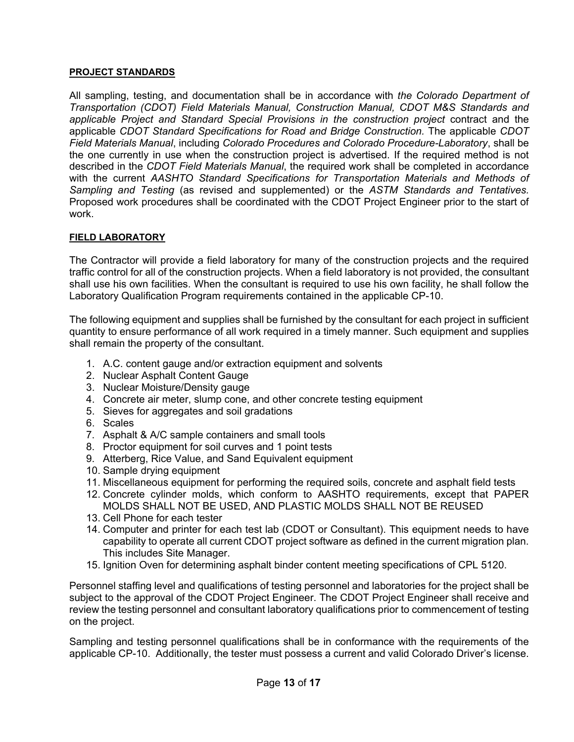### **PROJECT STANDARDS**

All sampling, testing, and documentation shall be in accordance with *the Colorado Department of Transportation (CDOT) Field Materials Manual, Construction Manual, CDOT M&S Standards and applicable Project and Standard Special Provisions in the construction project* contract and the applicable *CDOT Standard Specifications for Road and Bridge Construction.* The applicable *CDOT Field Materials Manual*, including *Colorado Procedures and Colorado Procedure-Laboratory*, shall be the one currently in use when the construction project is advertised. If the required method is not described in the *CDOT Field Materials Manual*, the required work shall be completed in accordance with the current *AASHTO Standard Specifications for Transportation Materials and Methods of Sampling and Testing* (as revised and supplemented) or the *ASTM Standards and Tentatives.* Proposed work procedures shall be coordinated with the CDOT Project Engineer prior to the start of work.

### **FIELD LABORATORY**

The Contractor will provide a field laboratory for many of the construction projects and the required traffic control for all of the construction projects. When a field laboratory is not provided, the consultant shall use his own facilities. When the consultant is required to use his own facility, he shall follow the Laboratory Qualification Program requirements contained in the applicable CP-10.

The following equipment and supplies shall be furnished by the consultant for each project in sufficient quantity to ensure performance of all work required in a timely manner. Such equipment and supplies shall remain the property of the consultant.

- 1. A.C. content gauge and/or extraction equipment and solvents
- 2. Nuclear Asphalt Content Gauge
- 3. Nuclear Moisture/Density gauge
- 4. Concrete air meter, slump cone, and other concrete testing equipment
- 5. Sieves for aggregates and soil gradations
- 6. Scales
- 7. Asphalt & A/C sample containers and small tools
- 8. Proctor equipment for soil curves and 1 point tests
- 9. Atterberg, Rice Value, and Sand Equivalent equipment
- 10. Sample drying equipment
- 11. Miscellaneous equipment for performing the required soils, concrete and asphalt field tests
- 12. Concrete cylinder molds, which conform to AASHTO requirements, except that PAPER MOLDS SHALL NOT BE USED, AND PLASTIC MOLDS SHALL NOT BE REUSED
- 13. Cell Phone for each tester
- 14. Computer and printer for each test lab (CDOT or Consultant). This equipment needs to have capability to operate all current CDOT project software as defined in the current migration plan. This includes Site Manager.
- 15. Ignition Oven for determining asphalt binder content meeting specifications of CPL 5120.

Personnel staffing level and qualifications of testing personnel and laboratories for the project shall be subject to the approval of the CDOT Project Engineer. The CDOT Project Engineer shall receive and review the testing personnel and consultant laboratory qualifications prior to commencement of testing on the project.

Sampling and testing personnel qualifications shall be in conformance with the requirements of the applicable CP-10. Additionally, the tester must possess a current and valid Colorado Driver's license.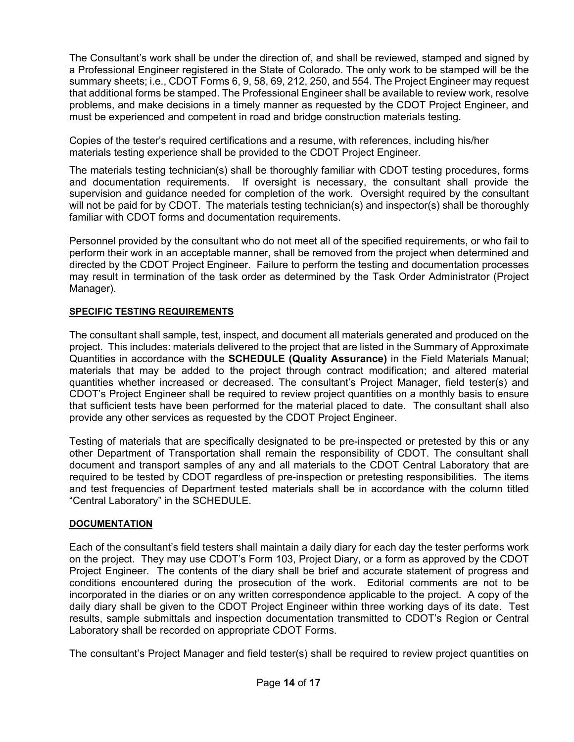The Consultant's work shall be under the direction of, and shall be reviewed, stamped and signed by a Professional Engineer registered in the State of Colorado. The only work to be stamped will be the summary sheets; i.e., CDOT Forms 6, 9, 58, 69, 212, 250, and 554. The Project Engineer may request that additional forms be stamped. The Professional Engineer shall be available to review work, resolve problems, and make decisions in a timely manner as requested by the CDOT Project Engineer, and must be experienced and competent in road and bridge construction materials testing.

Copies of the tester's required certifications and a resume, with references, including his/her materials testing experience shall be provided to the CDOT Project Engineer.

The materials testing technician(s) shall be thoroughly familiar with CDOT testing procedures, forms and documentation requirements. If oversight is necessary, the consultant shall provide the supervision and guidance needed for completion of the work. Oversight required by the consultant will not be paid for by CDOT. The materials testing technician(s) and inspector(s) shall be thoroughly familiar with CDOT forms and documentation requirements.

Personnel provided by the consultant who do not meet all of the specified requirements, or who fail to perform their work in an acceptable manner, shall be removed from the project when determined and directed by the CDOT Project Engineer. Failure to perform the testing and documentation processes may result in termination of the task order as determined by the Task Order Administrator (Project Manager).

## **SPECIFIC TESTING REQUIREMENTS**

The consultant shall sample, test, inspect, and document all materials generated and produced on the project. This includes: materials delivered to the project that are listed in the Summary of Approximate Quantities in accordance with the **SCHEDULE (Quality Assurance)** in the Field Materials Manual; materials that may be added to the project through contract modification; and altered material quantities whether increased or decreased. The consultant's Project Manager, field tester(s) and CDOT's Project Engineer shall be required to review project quantities on a monthly basis to ensure that sufficient tests have been performed for the material placed to date. The consultant shall also provide any other services as requested by the CDOT Project Engineer.

Testing of materials that are specifically designated to be pre-inspected or pretested by this or any other Department of Transportation shall remain the responsibility of CDOT. The consultant shall document and transport samples of any and all materials to the CDOT Central Laboratory that are required to be tested by CDOT regardless of pre-inspection or pretesting responsibilities. The items and test frequencies of Department tested materials shall be in accordance with the column titled "Central Laboratory" in the SCHEDULE.

## **DOCUMENTATION**

Each of the consultant's field testers shall maintain a daily diary for each day the tester performs work on the project. They may use CDOT's Form 103, Project Diary, or a form as approved by the CDOT Project Engineer. The contents of the diary shall be brief and accurate statement of progress and conditions encountered during the prosecution of the work. Editorial comments are not to be incorporated in the diaries or on any written correspondence applicable to the project. A copy of the daily diary shall be given to the CDOT Project Engineer within three working days of its date. Test results, sample submittals and inspection documentation transmitted to CDOT's Region or Central Laboratory shall be recorded on appropriate CDOT Forms.

The consultant's Project Manager and field tester(s) shall be required to review project quantities on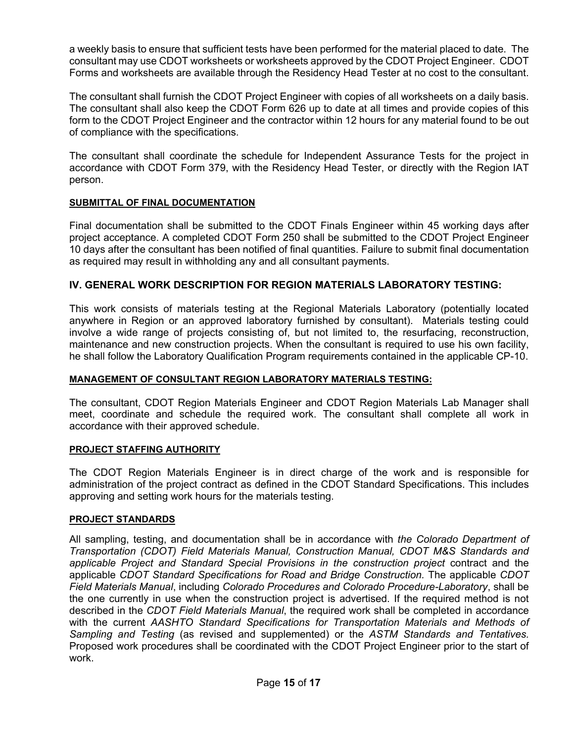a weekly basis to ensure that sufficient tests have been performed for the material placed to date. The consultant may use CDOT worksheets or worksheets approved by the CDOT Project Engineer. CDOT Forms and worksheets are available through the Residency Head Tester at no cost to the consultant.

The consultant shall furnish the CDOT Project Engineer with copies of all worksheets on a daily basis. The consultant shall also keep the CDOT Form 626 up to date at all times and provide copies of this form to the CDOT Project Engineer and the contractor within 12 hours for any material found to be out of compliance with the specifications.

The consultant shall coordinate the schedule for Independent Assurance Tests for the project in accordance with CDOT Form 379, with the Residency Head Tester, or directly with the Region IAT person.

#### **SUBMITTAL OF FINAL DOCUMENTATION**

Final documentation shall be submitted to the CDOT Finals Engineer within 45 working days after project acceptance. A completed CDOT Form 250 shall be submitted to the CDOT Project Engineer 10 days after the consultant has been notified of final quantities. Failure to submit final documentation as required may result in withholding any and all consultant payments.

### **IV. GENERAL WORK DESCRIPTION FOR REGION MATERIALS LABORATORY TESTING:**

This work consists of materials testing at the Regional Materials Laboratory (potentially located anywhere in Region or an approved laboratory furnished by consultant). Materials testing could involve a wide range of projects consisting of, but not limited to, the resurfacing, reconstruction, maintenance and new construction projects. When the consultant is required to use his own facility, he shall follow the Laboratory Qualification Program requirements contained in the applicable CP-10.

### **MANAGEMENT OF CONSULTANT REGION LABORATORY MATERIALS TESTING:**

The consultant, CDOT Region Materials Engineer and CDOT Region Materials Lab Manager shall meet, coordinate and schedule the required work. The consultant shall complete all work in accordance with their approved schedule.

#### **PROJECT STAFFING AUTHORITY**

The CDOT Region Materials Engineer is in direct charge of the work and is responsible for administration of the project contract as defined in the CDOT Standard Specifications. This includes approving and setting work hours for the materials testing.

#### **PROJECT STANDARDS**

All sampling, testing, and documentation shall be in accordance with *the Colorado Department of Transportation (CDOT) Field Materials Manual, Construction Manual, CDOT M&S Standards and applicable Project and Standard Special Provisions in the construction project* contract and the applicable *CDOT Standard Specifications for Road and Bridge Construction.* The applicable *CDOT Field Materials Manual*, including *Colorado Procedures and Colorado Procedure-Laboratory*, shall be the one currently in use when the construction project is advertised. If the required method is not described in the *CDOT Field Materials Manual*, the required work shall be completed in accordance with the current *AASHTO Standard Specifications for Transportation Materials and Methods of Sampling and Testing* (as revised and supplemented) or the *ASTM Standards and Tentatives.* Proposed work procedures shall be coordinated with the CDOT Project Engineer prior to the start of work.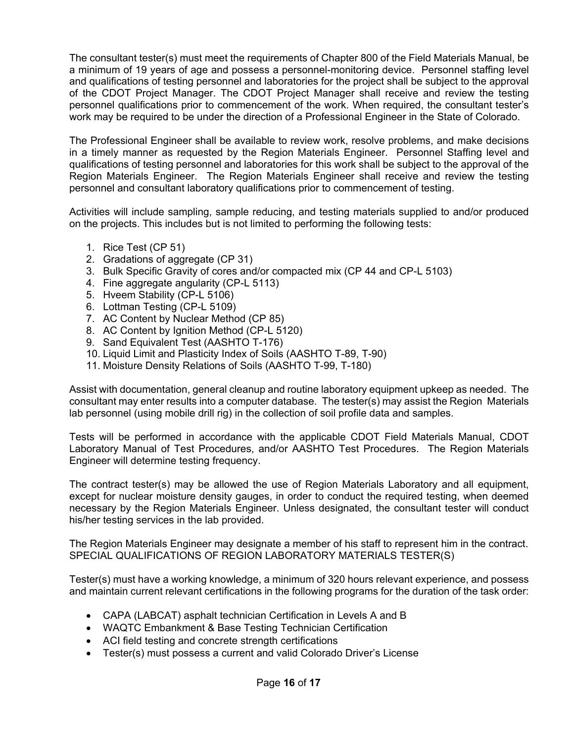The consultant tester(s) must meet the requirements of Chapter 800 of the Field Materials Manual, be a minimum of 19 years of age and possess a personnel-monitoring device. Personnel staffing level and qualifications of testing personnel and laboratories for the project shall be subject to the approval of the CDOT Project Manager. The CDOT Project Manager shall receive and review the testing personnel qualifications prior to commencement of the work. When required, the consultant tester's work may be required to be under the direction of a Professional Engineer in the State of Colorado.

The Professional Engineer shall be available to review work, resolve problems, and make decisions in a timely manner as requested by the Region Materials Engineer. Personnel Staffing level and qualifications of testing personnel and laboratories for this work shall be subject to the approval of the Region Materials Engineer. The Region Materials Engineer shall receive and review the testing personnel and consultant laboratory qualifications prior to commencement of testing.

Activities will include sampling, sample reducing, and testing materials supplied to and/or produced on the projects. This includes but is not limited to performing the following tests:

- 1. Rice Test (CP 51)
- 2. Gradations of aggregate (CP 31)
- 3. Bulk Specific Gravity of cores and/or compacted mix (CP 44 and CP-L 5103)
- 4. Fine aggregate angularity (CP-L 5113)
- 5. Hveem Stability (CP-L 5106)
- 6. Lottman Testing (CP-L 5109)
- 7. AC Content by Nuclear Method (CP 85)
- 8. AC Content by Ignition Method (CP-L 5120)
- 9. Sand Equivalent Test (AASHTO T-176)
- 10. Liquid Limit and Plasticity Index of Soils (AASHTO T-89, T-90)
- 11. Moisture Density Relations of Soils (AASHTO T-99, T-180)

Assist with documentation, general cleanup and routine laboratory equipment upkeep as needed. The consultant may enter results into a computer database. The tester(s) may assist the Region Materials lab personnel (using mobile drill rig) in the collection of soil profile data and samples.

Tests will be performed in accordance with the applicable CDOT Field Materials Manual, CDOT Laboratory Manual of Test Procedures, and/or AASHTO Test Procedures. The Region Materials Engineer will determine testing frequency.

The contract tester(s) may be allowed the use of Region Materials Laboratory and all equipment, except for nuclear moisture density gauges, in order to conduct the required testing, when deemed necessary by the Region Materials Engineer. Unless designated, the consultant tester will conduct his/her testing services in the lab provided.

The Region Materials Engineer may designate a member of his staff to represent him in the contract. SPECIAL QUALIFICATIONS OF REGION LABORATORY MATERIALS TESTER(S)

Tester(s) must have a working knowledge, a minimum of 320 hours relevant experience, and possess and maintain current relevant certifications in the following programs for the duration of the task order:

- CAPA (LABCAT) asphalt technician Certification in Levels A and B
- WAQTC Embankment & Base Testing Technician Certification
- ACI field testing and concrete strength certifications
- Tester(s) must possess a current and valid Colorado Driver's License